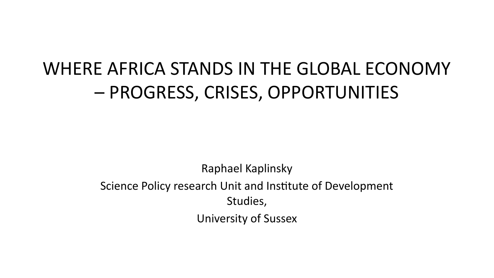#### WHERE AFRICA STANDS IN THE GLOBAL ECONOMY – PROGRESS, CRISES, OPPORTUNITIES

Raphael Kaplinsky

Science Policy research Unit and Institute of Development Studies,

University of Sussex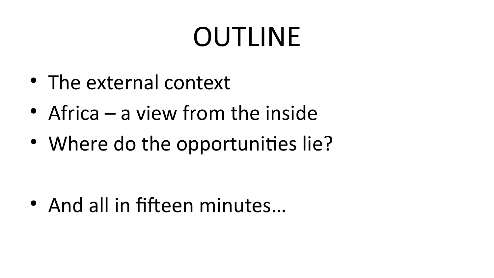## OUTLINE

- The external context
- Africa a view from the inside
- Where do the opportunities lie?

• And all in fifteen minutes…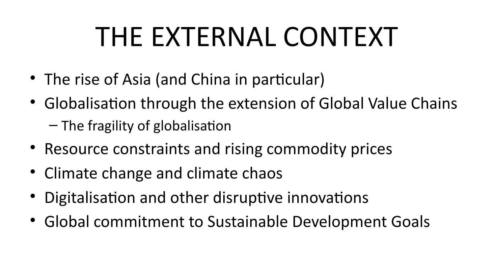## THE EXTERNAL CONTEXT

- The rise of Asia (and China in particular)
- Globalisation through the extension of Global Value Chains
	- The fragility of globalisation
- Resource constraints and rising commodity prices
- Climate change and climate chaos
- Digitalisation and other disruptive innovations
- Global commitment to Sustainable Development Goals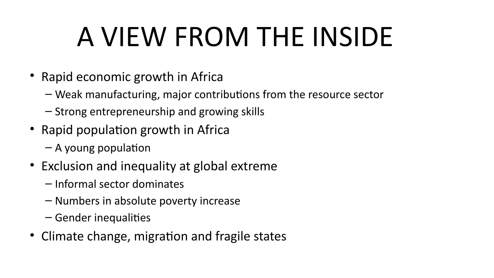# A VIEW FROM THE INSIDE

- Rapid economic growth in Africa
	- Weak manufacturing, major contributions from the resource sector
	- Strong entrepreneurship and growing skills
- Rapid population growth in Africa
	- A young population
- Exclusion and inequality at global extreme
	- Informal sector dominates
	- Numbers in absolute poverty increase
	- Gender inequalities
- Climate change, migration and fragile states